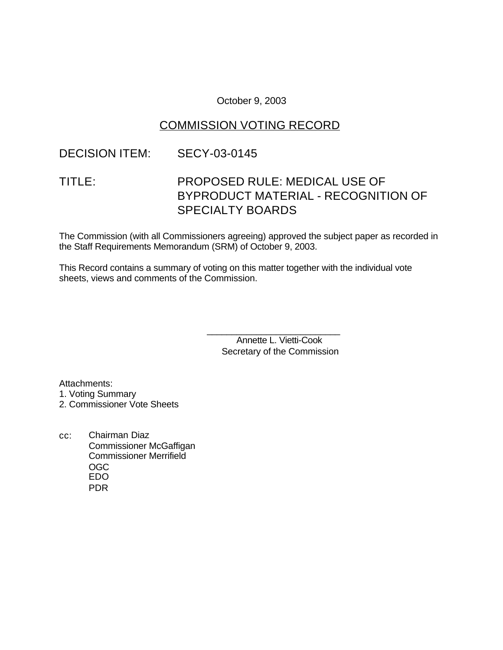October 9, 2003

# COMMISSION VOTING RECORD

# DECISION ITEM: SECY-03-0145

# TITLE: PROPOSED RULE: MEDICAL USE OF BYPRODUCT MATERIAL - RECOGNITION OF SPECIALTY BOARDS

The Commission (with all Commissioners agreeing) approved the subject paper as recorded in the Staff Requirements Memorandum (SRM) of October 9, 2003.

This Record contains a summary of voting on this matter together with the individual vote sheets, views and comments of the Commission.

> \_\_\_\_\_\_\_\_\_\_\_\_\_\_\_\_\_\_\_\_\_\_\_\_\_\_\_ Annette L. Vietti-Cook Secretary of the Commission

Attachments: 1. Voting Summary 2. Commissioner Vote Sheets

cc: Chairman Diaz Commissioner McGaffigan Commissioner Merrifield OGC EDO PDR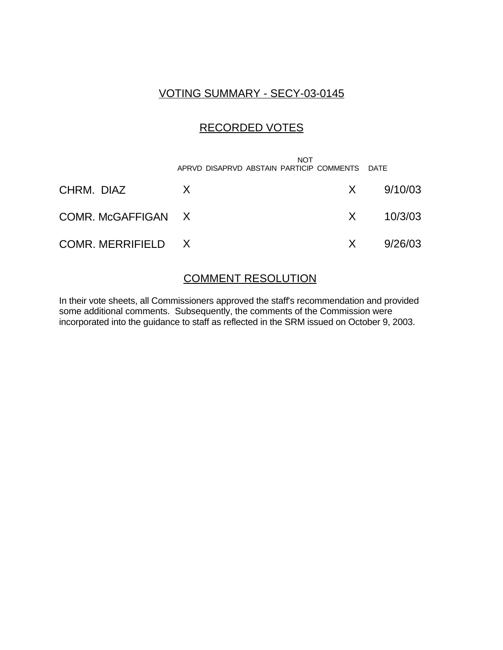# VOTING SUMMARY - SECY-03-0145

# RECORDED VOTES

|                    | <b>NOT</b><br>APRVD DISAPRVD ABSTAIN PARTICIP COMMENTS DATE |     |               |
|--------------------|-------------------------------------------------------------|-----|---------------|
| CHRM. DIAZ         | X                                                           |     | $X = 9/10/03$ |
| COMR. McGAFFIGAN X |                                                             |     | $X = 10/3/03$ |
| COMR. MERRIFIELD X |                                                             | X — | 9/26/03       |

### COMMENT RESOLUTION

In their vote sheets, all Commissioners approved the staff's recommendation and provided some additional comments. Subsequently, the comments of the Commission were incorporated into the guidance to staff as reflected in the SRM issued on October 9, 2003.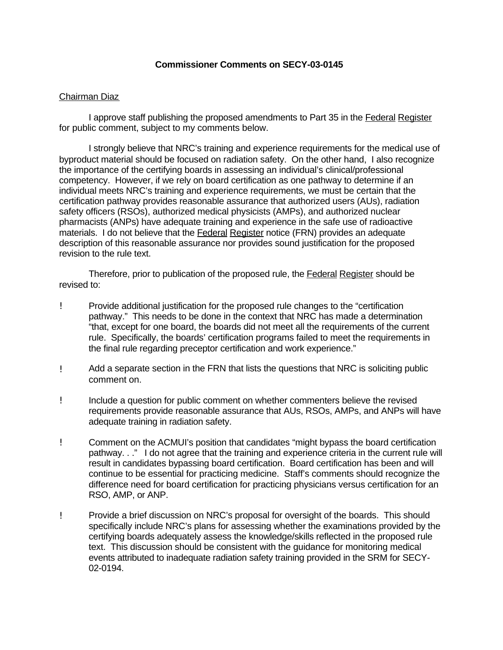### **Commissioner Comments on SECY-03-0145**

### Chairman Diaz

I approve staff publishing the proposed amendments to Part 35 in the Federal Register for public comment, subject to my comments below.

I strongly believe that NRC's training and experience requirements for the medical use of byproduct material should be focused on radiation safety. On the other hand, I also recognize the importance of the certifying boards in assessing an individual's clinical/professional competency. However, if we rely on board certification as one pathway to determine if an individual meets NRC's training and experience requirements, we must be certain that the certification pathway provides reasonable assurance that authorized users (AUs), radiation safety officers (RSOs), authorized medical physicists (AMPs), and authorized nuclear pharmacists (ANPs) have adequate training and experience in the safe use of radioactive materials. I do not believe that the Federal Register notice (FRN) provides an adequate description of this reasonable assurance nor provides sound justification for the proposed revision to the rule text.

Therefore, prior to publication of the proposed rule, the **Federal Register** should be revised to:

- ! Provide additional justification for the proposed rule changes to the "certification pathway." This needs to be done in the context that NRC has made a determination "that, except for one board, the boards did not meet all the requirements of the current rule. Specifically, the boards' certification programs failed to meet the requirements in the final rule regarding preceptor certification and work experience."
- ! Add a separate section in the FRN that lists the questions that NRC is soliciting public comment on.
- ! Include a question for public comment on whether commenters believe the revised requirements provide reasonable assurance that AUs, RSOs, AMPs, and ANPs will have adequate training in radiation safety.
- ! Comment on the ACMUI's position that candidates "might bypass the board certification pathway. . ." I do not agree that the training and experience criteria in the current rule will result in candidates bypassing board certification. Board certification has been and will continue to be essential for practicing medicine. Staff's comments should recognize the difference need for board certification for practicing physicians versus certification for an RSO, AMP, or ANP.
- ! Provide a brief discussion on NRC's proposal for oversight of the boards. This should specifically include NRC's plans for assessing whether the examinations provided by the certifying boards adequately assess the knowledge/skills reflected in the proposed rule text. This discussion should be consistent with the guidance for monitoring medical events attributed to inadequate radiation safety training provided in the SRM for SECY-02-0194.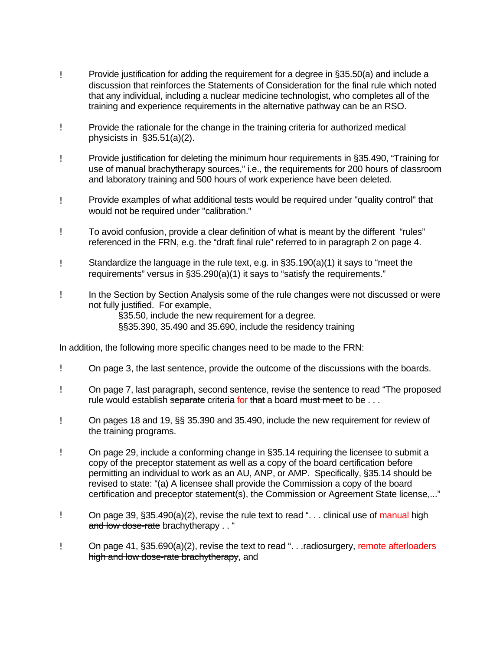- ! Provide justification for adding the requirement for a degree in §35.50(a) and include a discussion that reinforces the Statements of Consideration for the final rule which noted that any individual, including a nuclear medicine technologist, who completes all of the training and experience requirements in the alternative pathway can be an RSO.
- ! Provide the rationale for the change in the training criteria for authorized medical physicists in §35.51(a)(2).
- ! Provide justification for deleting the minimum hour requirements in §35.490, "Training for use of manual brachytherapy sources," i.e., the requirements for 200 hours of classroom and laboratory training and 500 hours of work experience have been deleted.
- ! Provide examples of what additional tests would be required under "quality control" that would not be required under "calibration."
- ! To avoid confusion, provide a clear definition of what is meant by the different "rules" referenced in the FRN, e.g. the "draft final rule" referred to in paragraph 2 on page 4.
- ! Standardize the language in the rule text, e.g. in §35.190(a)(1) it says to "meet the requirements" versus in §35.290(a)(1) it says to "satisfy the requirements."
- ! In the Section by Section Analysis some of the rule changes were not discussed or were not fully justified. For example,

§35.50, include the new requirement for a degree. §§35.390, 35.490 and 35.690, include the residency training

In addition, the following more specific changes need to be made to the FRN:

- ! On page 3, the last sentence, provide the outcome of the discussions with the boards.
- ! On page 7, last paragraph, second sentence, revise the sentence to read "The proposed rule would establish separate criteria for that a board must meet to be  $\ldots$
- ! On pages 18 and 19, §§ 35.390 and 35.490, include the new requirement for review of the training programs.
- ! On page 29, include a conforming change in §35.14 requiring the licensee to submit a copy of the preceptor statement as well as a copy of the board certification before permitting an individual to work as an AU, ANP, or AMP. Specifically, §35.14 should be revised to state: "(a) A licensee shall provide the Commission a copy of the board certification and preceptor statement(s), the Commission or Agreement State license,..."
- ! On page 39, §35.490(a)(2), revise the rule text to read "... clinical use of manual high and low dose-rate brachytherapy . . "
- ! On page 41, §35.690(a)(2), revise the text to read ". . .radiosurgery, remote afterloaders high and low dose-rate brachytherapy, and